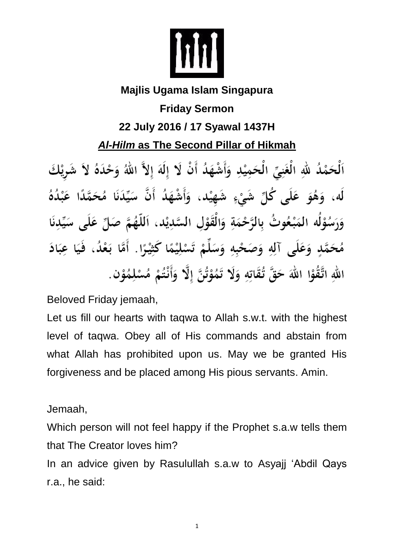

## **Majlis Ugama Islam Singapura Friday Sermon 22 July 2016 / 17 Syawal 1437H** *Al-Hilm* **as The Second Pillar of Hikmah**

اَلْحَمْدُ للَّهِ الْغَنِيِّ الْحَمِيْدِ وَأَشْهَدُ أَنْ لَا إِلَهَ إِلاَّ اللَّهُ وَحْدَهُ لاَ شَرِيْكَ لَه، وَهُوَ عَلَى كُلِّ شَيْءٍ شَهِيْد، وَأَشْهَدُ أَنَّ سَيِّدَنَا مُحَمَّدًا عَبْدُهُ وَرَسُوْلُه المَبْعُوتُ بِالرَّحْمَةِ وَالْقَوْلِ السَّدِيْدِ، اَللَّهُمَّ صَلِّ عَلَى سَيِّدِنَا مُحَمَّدٍ وَعَلَى آلِهِ وَصَحْبِهِ وَسَلِّمْ تَسْلِيْمًا كَثِيْرًا. أَمَّا بَعْدُ، فَيَا عِبَادَ اللهِ اتَّقُوْا اللهَ حَقَّ تُقَاتِهِ وَلَا تَمُوْتُنَّ إِلَّا وَأَنْتُمْ مُسْلِمُوْنٍ.

Beloved Friday jemaah,

Let us fill our hearts with taqwa to Allah s.w.t. with the highest level of taqwa. Obey all of His commands and abstain from what Allah has prohibited upon us. May we be granted His forgiveness and be placed among His pious servants. Amin.

Jemaah,

Which person will not feel happy if the Prophet s.a.w tells them that The Creator loves him?

In an advice given by Rasulullah s.a.w to Asyajj 'Abdil Qays r.a., he said:

1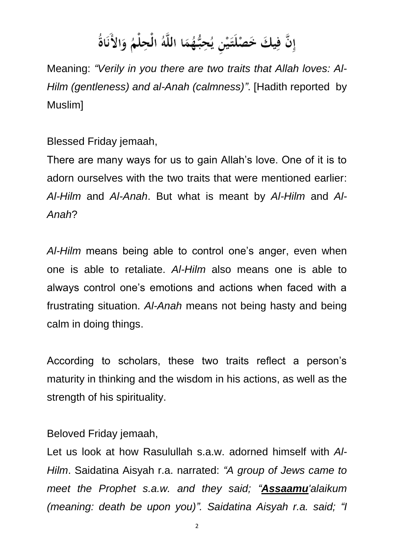## إِنَّ فِيكَ خَصْلَتَيْنِ يُحِبُّهُمَا اللَّهُ الْحِلْمُ وَالأَنَاةُ

Meaning: *"Verily in you there are two traits that Allah loves: Al-Hilm (gentleness) and al-Anah (calmness)"*. [Hadith reported by Muslim]

Blessed Friday jemaah,

There are many ways for us to gain Allah's love. One of it is to adorn ourselves with the two traits that were mentioned earlier: *Al-Hilm* and *Al-Anah*. But what is meant by *Al-Hilm* and *Al-Anah*?

*Al-Hilm* means being able to control one's anger, even when one is able to retaliate. *Al-Hilm* also means one is able to always control one's emotions and actions when faced with a frustrating situation. *Al-Anah* means not being hasty and being calm in doing things.

According to scholars, these two traits reflect a person's maturity in thinking and the wisdom in his actions, as well as the strength of his spirituality.

Beloved Friday jemaah,

Let us look at how Rasulullah s.a.w. adorned himself with *Al-Hilm*. Saidatina Aisyah r.a. narrated: *"A group of Jews came to meet the Prophet s.a.w. and they said; "Assaamu'alaikum (meaning: death be upon you)". Saidatina Aisyah r.a. said; "I*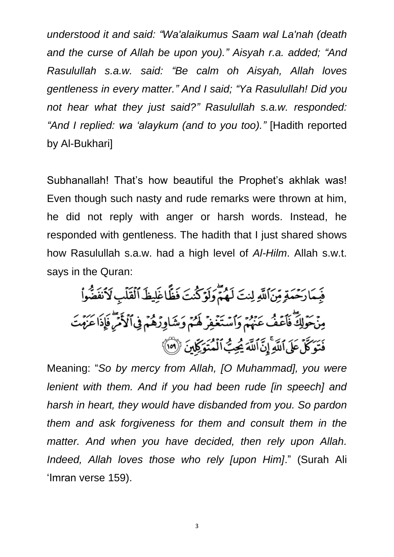*understood it and said: "Wa'alaikumus Saam wal La'nah (death and the curse of Allah be upon you)." Aisyah r.a. added; "And Rasulullah s.a.w. said: "Be calm oh Aisyah, Allah loves gentleness in every matter." And I said; "Ya Rasulullah! Did you not hear what they just said?" Rasulullah s.a.w. responded: "And I replied: wa 'alaykum (and to you too)."* [Hadith reported by Al-Bukhari]

Subhanallah! That's how beautiful the Prophet's akhlak was! Even though such nasty and rude remarks were thrown at him, he did not reply with anger or harsh words. Instead, he responded with gentleness. The hadith that I just shared shows how Rasulullah s.a.w. had a high level of *Al-Hilm*. Allah s.w.t. says in the Quran:

فَبِمَارَحْمَةٍ مِّنَ ٱللَّهِ لِنتَ لَهُمٌّ وَلَوۡكُنتَ فَظَّاغَلِيظَ ٱلۡقَلۡبِ لَاۡنَفَضُّوا۟ مِنْحَوْلِكَ فَأَعَفْ عَنْهُمْ وَٱسْتَغْفِرْ لَهُمْ وَشَاوِرُهُمْ فِي ٱلْأَمْرَ فَإِذَا عَزَمْتَ فَتَوَكَّلَ عَلَى ٱللَّهِ إِنَّ ٱللَّهَ يُجِبُّ ٱلْمُتَوَكِّلَانَ ۚ (٥٥)

Meaning: "*So by mercy from Allah, [O Muhammad], you were lenient with them. And if you had been rude [in speech] and harsh in heart, they would have disbanded from you. So pardon them and ask forgiveness for them and consult them in the matter. And when you have decided, then rely upon Allah. Indeed, Allah loves those who rely [upon Him]*." (Surah Ali 'Imran verse 159).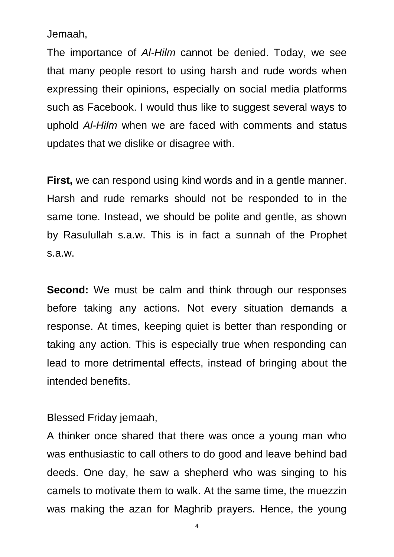Jemaah,

The importance of *Al-Hilm* cannot be denied. Today, we see that many people resort to using harsh and rude words when expressing their opinions, especially on social media platforms such as Facebook. I would thus like to suggest several ways to uphold *Al-Hilm* when we are faced with comments and status updates that we dislike or disagree with.

**First,** we can respond using kind words and in a gentle manner. Harsh and rude remarks should not be responded to in the same tone. Instead, we should be polite and gentle, as shown by Rasulullah s.a.w. This is in fact a sunnah of the Prophet s.a.w.

**Second:** We must be calm and think through our responses before taking any actions. Not every situation demands a response. At times, keeping quiet is better than responding or taking any action. This is especially true when responding can lead to more detrimental effects, instead of bringing about the intended benefits.

Blessed Friday jemaah,

A thinker once shared that there was once a young man who was enthusiastic to call others to do good and leave behind bad deeds. One day, he saw a shepherd who was singing to his camels to motivate them to walk. At the same time, the muezzin was making the azan for Maghrib prayers. Hence, the young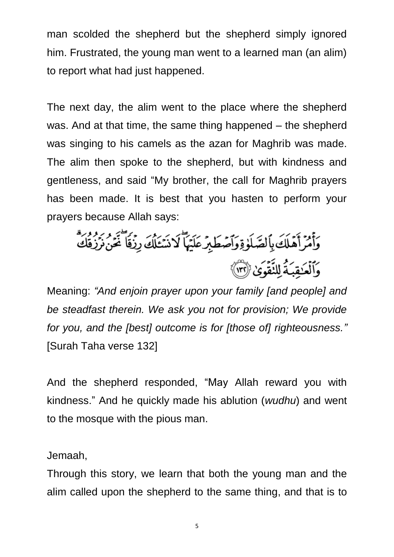man scolded the shepherd but the shepherd simply ignored him. Frustrated, the young man went to a learned man (an alim) to report what had just happened.

The next day, the alim went to the place where the shepherd was. And at that time, the same thing happened – the shepherd was singing to his camels as the azan for Maghrib was made. The alim then spoke to the shepherd, but with kindness and gentleness, and said "My brother, the call for Maghrib prayers has been made. It is best that you hasten to perform your prayers because Allah says:

وَأَمْرَأَهَلَكَ بِٱلصَّلَوٰةِ وَٱصۡطَٰبِرۡ عَلَيۡهَاۖ لَا نَسۡعَلۡكَ رِزۡقَا ۖ غَنۡنَ نَرۡدَقَكَ وَٱلۡعَٰقِبَةُ لِلنَّقُوَىٰ (٣٢)

Meaning: *"And enjoin prayer upon your family [and people] and be steadfast therein. We ask you not for provision; We provide for you, and the [best] outcome is for [those of] righteousness."* [Surah Taha verse 132]

And the shepherd responded, "May Allah reward you with kindness." And he quickly made his ablution (*wudhu*) and went to the mosque with the pious man.

Jemaah,

Through this story, we learn that both the young man and the alim called upon the shepherd to the same thing, and that is to